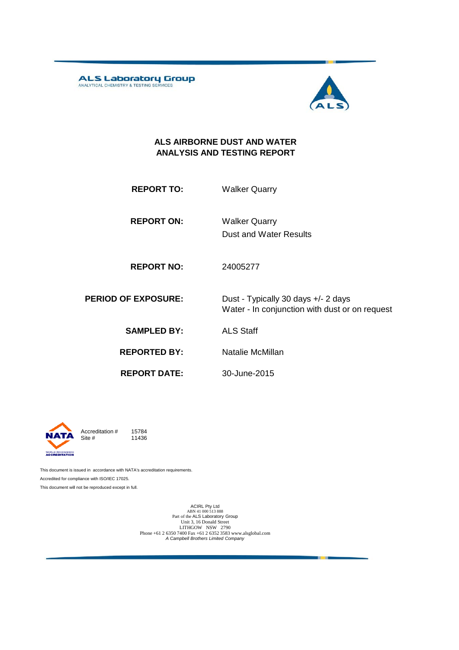ALS Laboratory Group



#### **ALS AIRBORNE DUST AND WATER ANALYSIS AND TESTING REPORT**

| <b>REPORT TO:</b> | <b>Walker Quarry</b> |
|-------------------|----------------------|
|                   |                      |

**REPORT ON:** Dust and Water Results Walker Quarry

**REPORT NO:** 24005277

**PERIOD OF EXPOSURE:** Dust - Typically 30 days +/- 2 days Water - In conjunction with dust or on request

**SAMPLED BY:** ALS Staff

**REPORTED BY:** Natalie McMillan

**REPORT DATE:**

30-June-2015



Accreditation  $\#$  15784<br>Site  $\#$  11436 11436

This document is issued in accordance with NATA's accreditation requirements. Accredited for compliance with ISO/IEC 17025. This document will not be reproduced except in full.

> ACIRL Pty Ltd<br>ABN 41 000 513 888<br>Part of the ALS Laboratory Group Unit 3, 16 Donald Street LITHGOW NSW 2790 Phone +61 2 6350 7400 Fax +61 2 6352 3583 www.alsglobal.com *A Campbell Brothers Limited Company*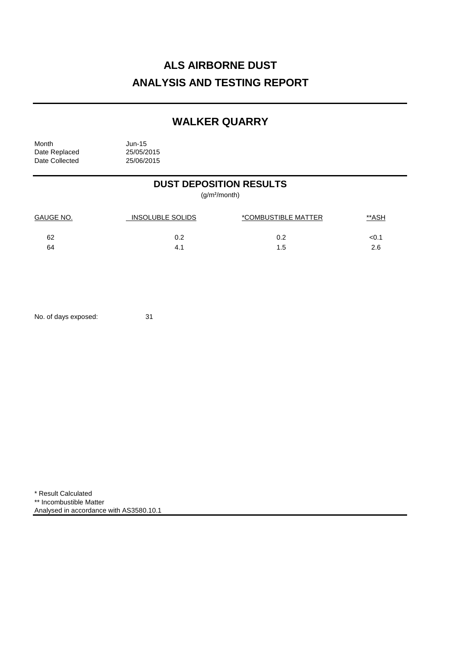# **ALS AIRBORNE DUST ANALYSIS AND TESTING REPORT**

## **WALKER QUARRY**

Month<br>Date Replaced 25/05/2015 Date Replaced 25/05/2015<br>Date Collected 25/06/2015 Date Collected

## **DUST DEPOSITION RESULTS**

(g/m²/month)

| <b>GAUGE NO.</b> | INSOLUBLE SOLIDS | *COMBUSTIBLE MATTER | <u>**ASH</u> |
|------------------|------------------|---------------------|--------------|
| 62               | 0.2              | 0.2                 | <0.1         |
| 64               | 4.7              | 1.5                 | 2.6          |

No. of days exposed: 31

\* Result Calculated \*\* Incombustible Matter Analysed in accordance with AS3580.10.1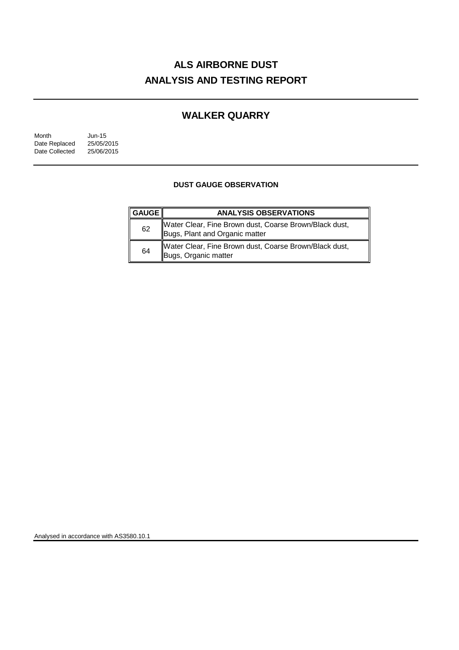# **ALS AIRBORNE DUST ANALYSIS AND TESTING REPORT**

## **WALKER QUARRY**

| Month          | $Jun-15$   |
|----------------|------------|
| Date Replaced  | 25/05/2015 |
| Date Collected | 25/06/2015 |

### **DUST GAUGE OBSERVATION**

| $\parallel$ GAUGE $\parallel$ | <b>ANALYSIS OBSERVATIONS</b>                                                             |
|-------------------------------|------------------------------------------------------------------------------------------|
| 62                            | Water Clear, Fine Brown dust, Coarse Brown/Black dust,<br>Bugs, Plant and Organic matter |
| 64                            | Water Clear, Fine Brown dust, Coarse Brown/Black dust,<br>Bugs, Organic matter           |

Analysed in accordance with AS3580.10.1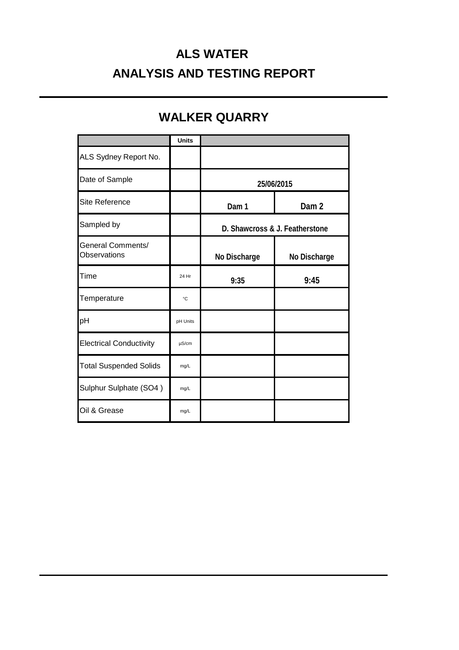# **ALS WATER ANALYSIS AND TESTING REPORT**

# **WALKER QUARRY**

|                                          | <b>Units</b> |                                |                  |
|------------------------------------------|--------------|--------------------------------|------------------|
| ALS Sydney Report No.                    |              |                                |                  |
| Date of Sample                           |              | 25/06/2015                     |                  |
| Site Reference                           |              | Dam 1                          | Dam <sub>2</sub> |
| Sampled by                               |              | D. Shawcross & J. Featherstone |                  |
| <b>General Comments/</b><br>Observations |              | No Discharge                   | No Discharge     |
| Time                                     | 24 Hr        | 9:35                           | 9:45             |
| Temperature                              | °C           |                                |                  |
| pH                                       | pH Units     |                                |                  |
| <b>Electrical Conductivity</b>           | $\mu$ S/cm   |                                |                  |
| <b>Total Suspended Solids</b>            | mg/L         |                                |                  |
| Sulphur Sulphate (SO4)                   | mg/L         |                                |                  |
| Oil & Grease                             | mg/L         |                                |                  |